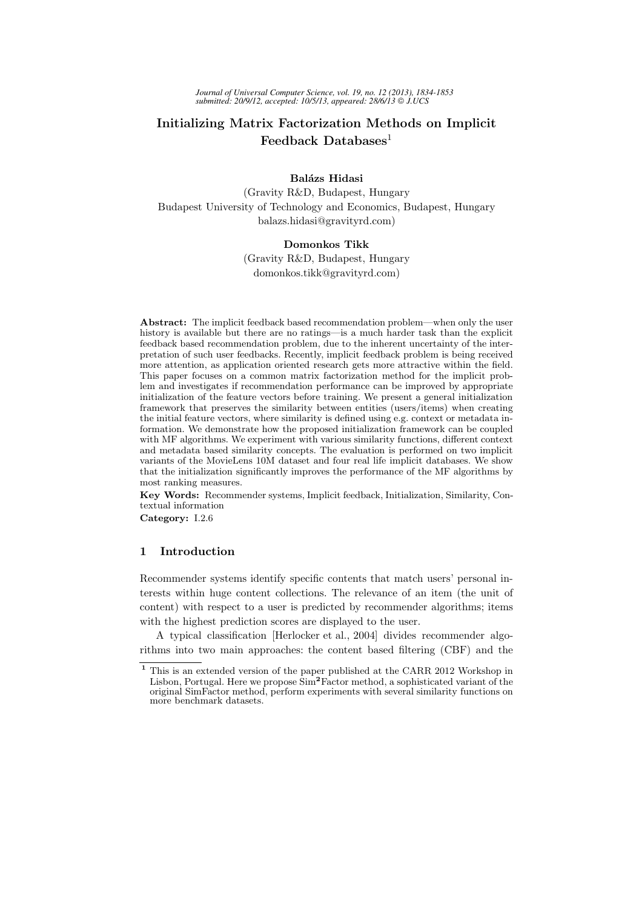# Initializing Matrix Factorization Methods on Implicit Feedback Databases $<sup>1</sup>$ </sup>

## Balázs Hidasi

(Gravity R&D, Budapest, Hungary Budapest University of Technology and Economics, Budapest, Hungary balazs.hidasi@gravityrd.com)

#### Domonkos Tikk

(Gravity R&D, Budapest, Hungary domonkos.tikk@gravityrd.com)

Abstract: The implicit feedback based recommendation problem—when only the user history is available but there are no ratings—is a much harder task than the explicit feedback based recommendation problem, due to the inherent uncertainty of the interpretation of such user feedbacks. Recently, implicit feedback problem is being received more attention, as application oriented research gets more attractive within the field. This paper focuses on a common matrix factorization method for the implicit problem and investigates if recommendation performance can be improved by appropriate initialization of the feature vectors before training. We present a general initialization framework that preserves the similarity between entities (users/items) when creating the initial feature vectors, where similarity is defined using e.g. context or metadata information. We demonstrate how the proposed initialization framework can be coupled with MF algorithms. We experiment with various similarity functions, different context and metadata based similarity concepts. The evaluation is performed on two implicit variants of the MovieLens 10M dataset and four real life implicit databases. We show that the initialization significantly improves the performance of the MF algorithms by most ranking measures.

Key Words: Recommender systems, Implicit feedback, Initialization, Similarity, Contextual information

Category: I.2.6

## 1 Introduction

Recommender systems identify specific contents that match users' personal interests within huge content collections. The relevance of an item (the unit of content) with respect to a user is predicted by recommender algorithms; items with the highest prediction scores are displayed to the user.

A typical classification [Herlocker et al., 2004] divides recommender algorithms into two main approaches: the content based filtering (CBF) and the

 $^{\rm 1}$  This is an extended version of the paper published at the CARR 2012 Workshop in Lisbon, Portugal. Here we propose  $\text{Sim}^2\text{Factor method}$ , a sophisticated variant of the original SimFactor method, perform experiments with several similarity functions on more benchmark datasets.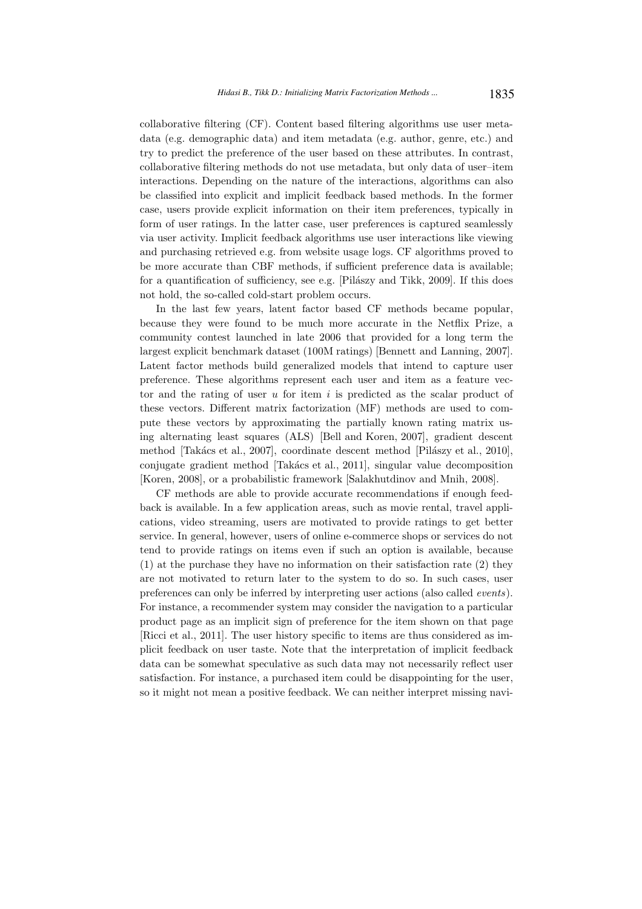collaborative filtering (CF). Content based filtering algorithms use user metadata (e.g. demographic data) and item metadata (e.g. author, genre, etc.) and try to predict the preference of the user based on these attributes. In contrast, collaborative filtering methods do not use metadata, but only data of user–item interactions. Depending on the nature of the interactions, algorithms can also be classified into explicit and implicit feedback based methods. In the former case, users provide explicit information on their item preferences, typically in form of user ratings. In the latter case, user preferences is captured seamlessly via user activity. Implicit feedback algorithms use user interactions like viewing and purchasing retrieved e.g. from website usage logs. CF algorithms proved to be more accurate than CBF methods, if sufficient preference data is available; for a quantification of sufficiency, see e.g. [Pilászy and Tikk, 2009]. If this does not hold, the so-called cold-start problem occurs.

In the last few years, latent factor based CF methods became popular, because they were found to be much more accurate in the Netflix Prize, a community contest launched in late 2006 that provided for a long term the largest explicit benchmark dataset (100M ratings) [Bennett and Lanning, 2007]. Latent factor methods build generalized models that intend to capture user preference. These algorithms represent each user and item as a feature vector and the rating of user  $u$  for item  $i$  is predicted as the scalar product of these vectors. Different matrix factorization (MF) methods are used to compute these vectors by approximating the partially known rating matrix using alternating least squares (ALS) [Bell and Koren, 2007], gradient descent method [Takács et al., 2007], coordinate descent method [Pilászy et al., 2010], conjugate gradient method [Takács et al., 2011], singular value decomposition [Koren, 2008], or a probabilistic framework [Salakhutdinov and Mnih, 2008].

CF methods are able to provide accurate recommendations if enough feedback is available. In a few application areas, such as movie rental, travel applications, video streaming, users are motivated to provide ratings to get better service. In general, however, users of online e-commerce shops or services do not tend to provide ratings on items even if such an option is available, because (1) at the purchase they have no information on their satisfaction rate (2) they are not motivated to return later to the system to do so. In such cases, user preferences can only be inferred by interpreting user actions (also called events). For instance, a recommender system may consider the navigation to a particular product page as an implicit sign of preference for the item shown on that page [Ricci et al., 2011]. The user history specific to items are thus considered as implicit feedback on user taste. Note that the interpretation of implicit feedback data can be somewhat speculative as such data may not necessarily reflect user satisfaction. For instance, a purchased item could be disappointing for the user, so it might not mean a positive feedback. We can neither interpret missing navi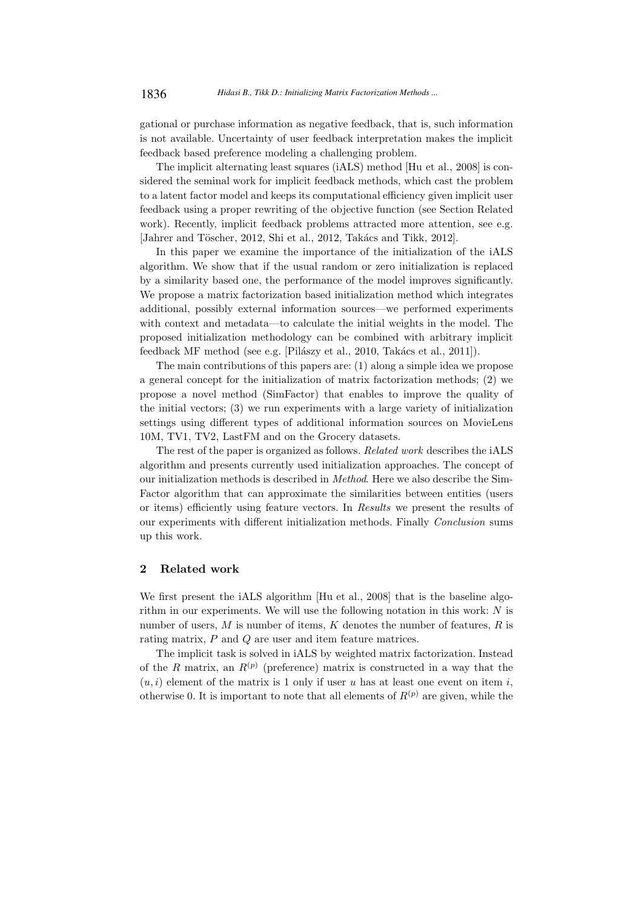gational or purchase information as negative feedback, that is, such information is not available. Uncertainty of user feedback interpretation makes the implicit feedback based preference modeling a challenging problem.

The implicit alternating least squares (iALS) method [Hu et al., 2008] is considered the seminal work for implicit feedback methods, which cast the problem to a latent factor model and keeps its computational efficiency given implicit user feedback using a proper rewriting of the objective function (see Section Related work). Recently, implicit feedback problems attracted more attention, see e.g. [Jahrer and Töscher, 2012, Shi et al., 2012, Takács and Tikk, 2012].

In this paper we examine the importance of the initialization of the iALS algorithm. We show that if the usual random or zero initialization is replaced by a similarity based one, the performance of the model improves significantly. We propose a matrix factorization based initialization method which integrates additional, possibly external information sources—we performed experiments with context and metadata—to calculate the initial weights in the model. The proposed initialization methodology can be combined with arbitrary implicit feedback MF method (see e.g. [Pilászy et al., 2010, Takács et al., 2011]).

The main contributions of this papers are: (1) along a simple idea we propose a general concept for the initialization of matrix factorization methods; (2) we propose a novel method (SimFactor) that enables to improve the quality of the initial vectors; (3) we run experiments with a large variety of initialization settings using different types of additional information sources on MovieLens 10M, TV1, TV2, LastFM and on the Grocery datasets.

The rest of the paper is organized as follows. Related work describes the iALS algorithm and presents currently used initialization approaches. The concept of our initialization methods is described in Method. Here we also describe the Sim-Factor algorithm that can approximate the similarities between entities (users or items) efficiently using feature vectors. In Results we present the results of our experiments with different initialization methods. Finally Conclusion sums up this work.

## 2 Related work

We first present the iALS algorithm [Hu et al., 2008] that is the baseline algorithm in our experiments. We will use the following notation in this work:  $N$  is number of users,  $M$  is number of items,  $K$  denotes the number of features,  $R$  is rating matrix, P and Q are user and item feature matrices.

The implicit task is solved in iALS by weighted matrix factorization. Instead of the R matrix, an  $R^{(p)}$  (preference) matrix is constructed in a way that the  $(u, i)$  element of the matrix is 1 only if user u has at least one event on item i, otherwise 0. It is important to note that all elements of  $R^{(p)}$  are given, while the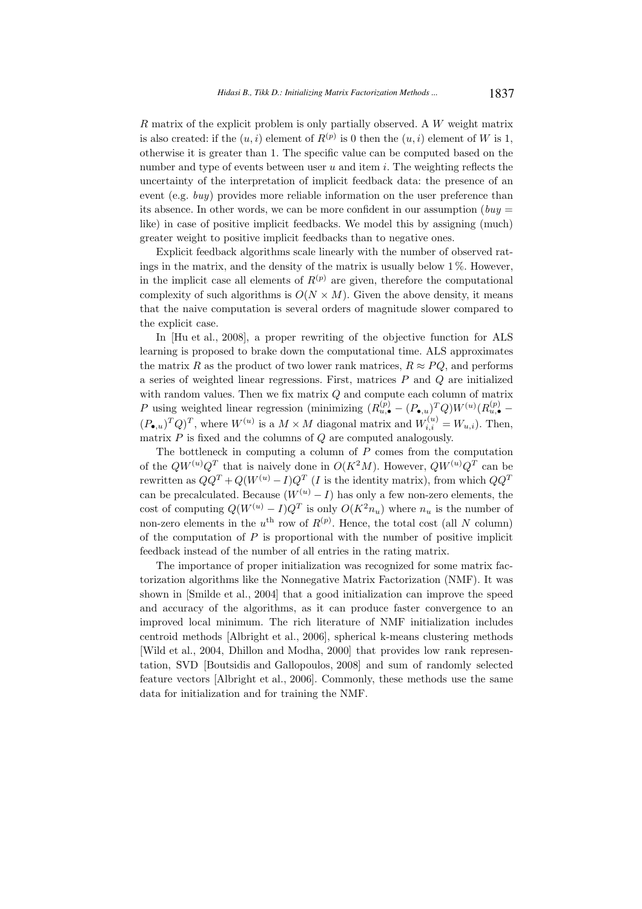R matrix of the explicit problem is only partially observed. A W weight matrix is also created: if the  $(u, i)$  element of  $R^{(p)}$  is 0 then the  $(u, i)$  element of W is 1, otherwise it is greater than 1. The specific value can be computed based on the number and type of events between user  $u$  and item  $i$ . The weighting reflects the uncertainty of the interpretation of implicit feedback data: the presence of an event (e.g. buy) provides more reliable information on the user preference than its absence. In other words, we can be more confident in our assumption ( $buy =$ like) in case of positive implicit feedbacks. We model this by assigning (much) greater weight to positive implicit feedbacks than to negative ones.

Explicit feedback algorithms scale linearly with the number of observed ratings in the matrix, and the density of the matrix is usually below 1 %. However, in the implicit case all elements of  $R^{(p)}$  are given, therefore the computational complexity of such algorithms is  $O(N \times M)$ . Given the above density, it means that the naive computation is several orders of magnitude slower compared to the explicit case.

In [Hu et al., 2008], a proper rewriting of the objective function for ALS learning is proposed to brake down the computational time. ALS approximates the matrix R as the product of two lower rank matrices,  $R \approx PQ$ , and performs a series of weighted linear regressions. First, matrices  $P$  and  $Q$  are initialized with random values. Then we fix matrix Q and compute each column of matrix P using weighted linear regression (minimizing  $(R_{u,\bullet}^{(p)} - (P_{\bullet,u})^T Q) W^{(u)} (R_{u,\bullet}^{(p)} (P_{\bullet,u})^T Q)^T$ , where  $W^{(u)}$  is a  $M \times M$  diagonal matrix and  $W_{i,i}^{(u)} = W_{u,i}$ ). Then, matrix  $P$  is fixed and the columns of  $Q$  are computed analogously.

The bottleneck in computing a column of  $P$  comes from the computation of the  $QW^{(u)}Q^T$  that is naively done in  $O(K^2M)$ . However,  $QW^{(u)}Q^T$  can be rewritten as  $QQ^T + Q(W^{(u)} - I)Q^T$  (*I* is the identity matrix), from which  $QQ^T$ can be precalculated. Because  $(W^{(u)} - I)$  has only a few non-zero elements, the cost of computing  $Q(W^{(u)} - I)Q^T$  is only  $O(K^2 n_u)$  where  $n_u$  is the number of non-zero elements in the  $u^{\text{th}}$  row of  $R^{(p)}$ . Hence, the total cost (all N column) of the computation of  $P$  is proportional with the number of positive implicit feedback instead of the number of all entries in the rating matrix.

The importance of proper initialization was recognized for some matrix factorization algorithms like the Nonnegative Matrix Factorization (NMF). It was shown in [Smilde et al., 2004] that a good initialization can improve the speed and accuracy of the algorithms, as it can produce faster convergence to an improved local minimum. The rich literature of NMF initialization includes centroid methods [Albright et al., 2006], spherical k-means clustering methods [Wild et al., 2004, Dhillon and Modha, 2000] that provides low rank representation, SVD [Boutsidis and Gallopoulos, 2008] and sum of randomly selected feature vectors [Albright et al., 2006]. Commonly, these methods use the same data for initialization and for training the NMF.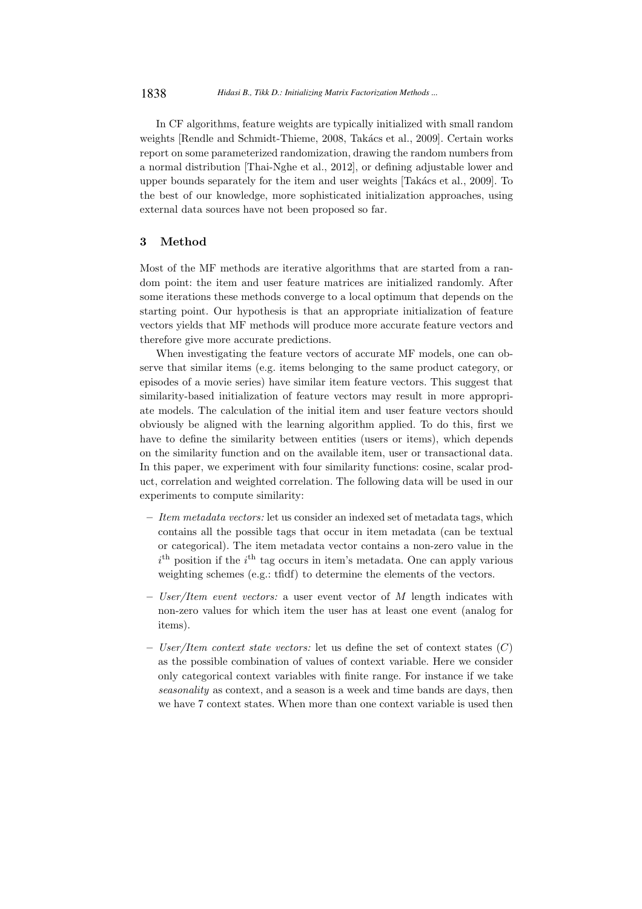In CF algorithms, feature weights are typically initialized with small random weights [Rendle and Schmidt-Thieme, 2008, Takács et al., 2009]. Certain works report on some parameterized randomization, drawing the random numbers from a normal distribution [Thai-Nghe et al., 2012], or defining adjustable lower and upper bounds separately for the item and user weights [Takács et al., 2009]. To the best of our knowledge, more sophisticated initialization approaches, using external data sources have not been proposed so far.

## 3 Method

Most of the MF methods are iterative algorithms that are started from a random point: the item and user feature matrices are initialized randomly. After some iterations these methods converge to a local optimum that depends on the starting point. Our hypothesis is that an appropriate initialization of feature vectors yields that MF methods will produce more accurate feature vectors and therefore give more accurate predictions.

When investigating the feature vectors of accurate MF models, one can observe that similar items (e.g. items belonging to the same product category, or episodes of a movie series) have similar item feature vectors. This suggest that similarity-based initialization of feature vectors may result in more appropriate models. The calculation of the initial item and user feature vectors should obviously be aligned with the learning algorithm applied. To do this, first we have to define the similarity between entities (users or items), which depends on the similarity function and on the available item, user or transactional data. In this paper, we experiment with four similarity functions: cosine, scalar product, correlation and weighted correlation. The following data will be used in our experiments to compute similarity:

- $-$  *Item metadata vectors:* let us consider an indexed set of metadata tags, which contains all the possible tags that occur in item metadata (can be textual or categorical). The item metadata vector contains a non-zero value in the  $i<sup>th</sup>$  position if the  $i<sup>th</sup>$  tag occurs in item's metadata. One can apply various weighting schemes (e.g.: tfidf) to determine the elements of the vectors.
- User/Item event vectors: a user event vector of M length indicates with non-zero values for which item the user has at least one event (analog for items).
- User/Item context state vectors: let us define the set of context states  $(C)$ as the possible combination of values of context variable. Here we consider only categorical context variables with finite range. For instance if we take seasonality as context, and a season is a week and time bands are days, then we have 7 context states. When more than one context variable is used then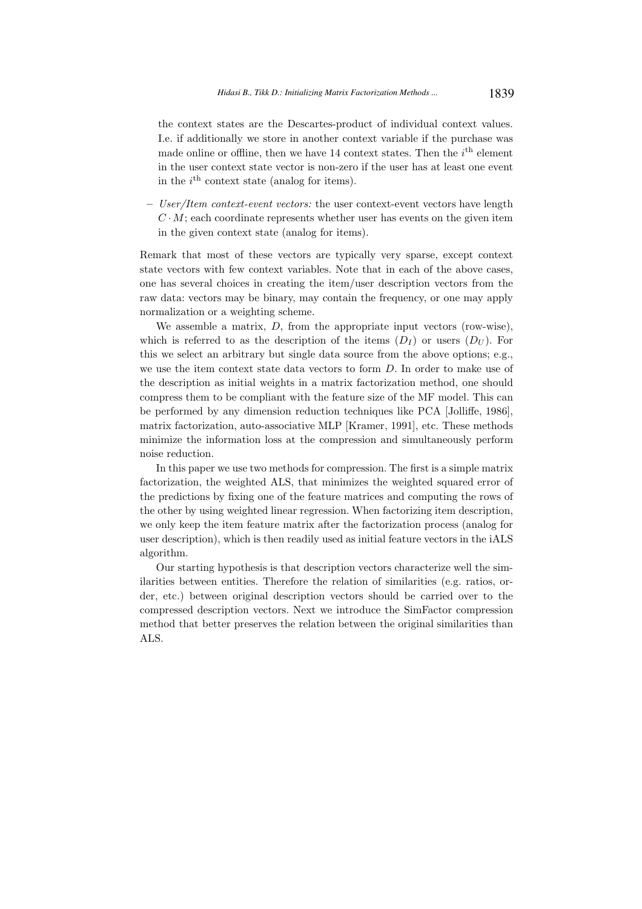the context states are the Descartes-product of individual context values. I.e. if additionally we store in another context variable if the purchase was made online or offline, then we have 14 context states. Then the  $i<sup>th</sup>$  element in the user context state vector is non-zero if the user has at least one event in the  $i<sup>th</sup>$  context state (analog for items).

– User/Item context-event vectors: the user context-event vectors have length  $C \cdot M$ ; each coordinate represents whether user has events on the given item in the given context state (analog for items).

Remark that most of these vectors are typically very sparse, except context state vectors with few context variables. Note that in each of the above cases, one has several choices in creating the item/user description vectors from the raw data: vectors may be binary, may contain the frequency, or one may apply normalization or a weighting scheme.

We assemble a matrix,  $D$ , from the appropriate input vectors (row-wise), which is referred to as the description of the items  $(D_I)$  or users  $(D_U)$ . For this we select an arbitrary but single data source from the above options; e.g., we use the item context state data vectors to form D. In order to make use of the description as initial weights in a matrix factorization method, one should compress them to be compliant with the feature size of the MF model. This can be performed by any dimension reduction techniques like PCA [Jolliffe, 1986], matrix factorization, auto-associative MLP [Kramer, 1991], etc. These methods minimize the information loss at the compression and simultaneously perform noise reduction.

In this paper we use two methods for compression. The first is a simple matrix factorization, the weighted ALS, that minimizes the weighted squared error of the predictions by fixing one of the feature matrices and computing the rows of the other by using weighted linear regression. When factorizing item description, we only keep the item feature matrix after the factorization process (analog for user description), which is then readily used as initial feature vectors in the iALS algorithm.

Our starting hypothesis is that description vectors characterize well the similarities between entities. Therefore the relation of similarities (e.g. ratios, order, etc.) between original description vectors should be carried over to the compressed description vectors. Next we introduce the SimFactor compression method that better preserves the relation between the original similarities than ALS.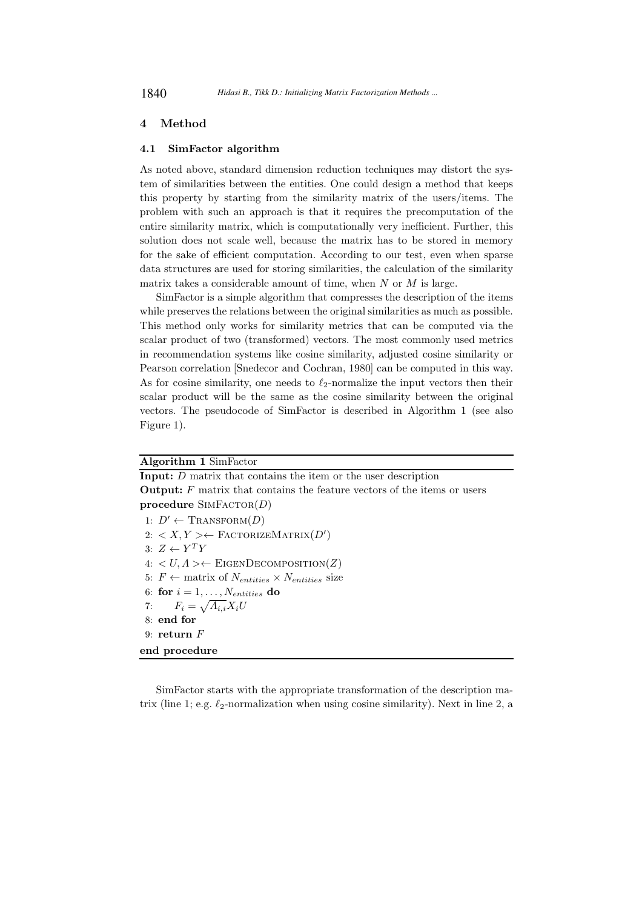## 4 Method

#### 4.1 SimFactor algorithm

As noted above, standard dimension reduction techniques may distort the system of similarities between the entities. One could design a method that keeps this property by starting from the similarity matrix of the users/items. The problem with such an approach is that it requires the precomputation of the entire similarity matrix, which is computationally very inefficient. Further, this solution does not scale well, because the matrix has to be stored in memory for the sake of efficient computation. According to our test, even when sparse data structures are used for storing similarities, the calculation of the similarity matrix takes a considerable amount of time, when  $N$  or  $M$  is large.

SimFactor is a simple algorithm that compresses the description of the items while preserves the relations between the original similarities as much as possible. This method only works for similarity metrics that can be computed via the scalar product of two (transformed) vectors. The most commonly used metrics in recommendation systems like cosine similarity, adjusted cosine similarity or Pearson correlation [Snedecor and Cochran, 1980] can be computed in this way. As for cosine similarity, one needs to  $\ell_2$ -normalize the input vectors then their scalar product will be the same as the cosine similarity between the original vectors. The pseudocode of SimFactor is described in Algorithm 1 (see also Figure 1).

## Algorithm 1 SimFactor

Input: D matrix that contains the item or the user description **Output:**  $F$  matrix that contains the feature vectors of the items or users procedure  $\text{SIMFACTOR}(D)$ 1:  $D' \leftarrow \text{TRANSFORM}(D)$ 2:  $\langle X, Y \rangle$  ← FactorizeMatrix $(D')$ 3:  $Z \leftarrow Y^T Y$  $4: \langle U, \Lambda \rangle \leftarrow$  EIGENDECOMPOSITION(Z) 5:  $F \leftarrow$  matrix of  $N_{entities} \times N_{entities}$  size 6: for  $i = 1, \ldots, N_{entities}$  do 7:  $F_i = \sqrt{A_{i,i}}X_iU$ 8: end for 9: return F end procedure

SimFactor starts with the appropriate transformation of the description matrix (line 1; e.g.  $\ell_2$ -normalization when using cosine similarity). Next in line 2, a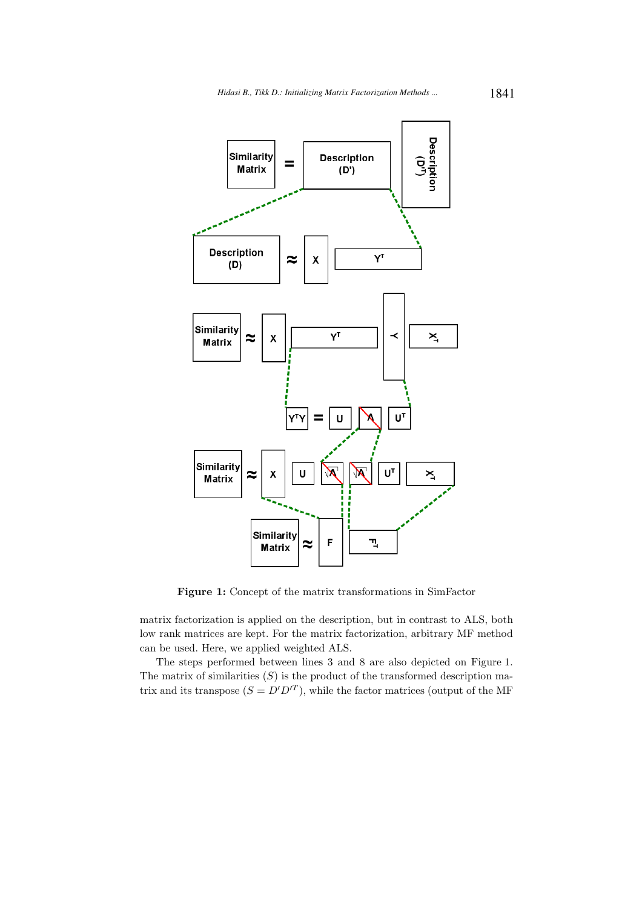

Figure 1: Concept of the matrix transformations in SimFactor

matrix factorization is applied on the description, but in contrast to ALS, both low rank matrices are kept. For the matrix factorization, arbitrary MF method can be used. Here, we applied weighted ALS.

The steps performed between lines 3 and 8 are also depicted on Figure 1. The matrix of similarities  $(S)$  is the product of the transformed description matrix and its transpose  $(S = D'D'^T)$ , while the factor matrices (output of the MF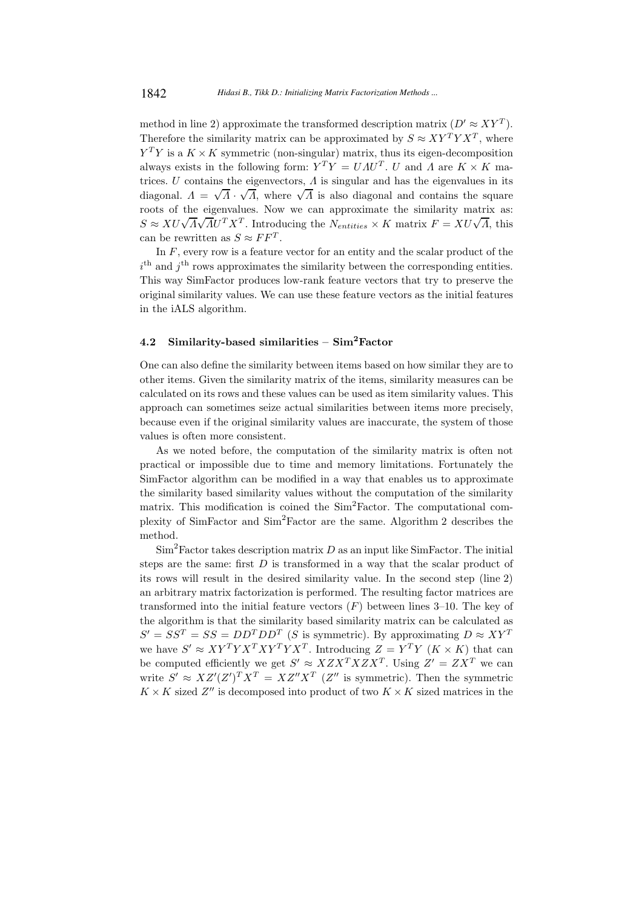method in line 2) approximate the transformed description matrix  $(D' \approx XY^T)$ . Therefore the similarity matrix can be approximated by  $S \approx XY^T Y X^T$ , where  $Y^TY$  is a  $K \times K$  symmetric (non-singular) matrix, thus its eigen-decomposition always exists in the following form:  $Y^T Y = U A U^T$ . U and  $\Lambda$  are  $K \times K$  matrices. U contains the eigenvectors,  $\Lambda$  is singular and has the eigenvalues in its diagonal.  $\Lambda = \sqrt{\Lambda} \cdot \sqrt{\Lambda}$ , where  $\sqrt{\Lambda}$  is also diagonal and contains the square roots of the eigenvalues. Now we can approximate the similarity matrix as:  $S \approx XU\sqrt{\Lambda}\sqrt{\Lambda}U^{T}X^{T}$ . Introducing the  $N_{entities} \times K$  matrix  $F = XU\sqrt{\Lambda}$ , this can be rewritten as  $S \approx F F^{T}$ .

In  $F$ , every row is a feature vector for an entity and the scalar product of the  $i<sup>th</sup>$  and  $j<sup>th</sup>$  rows approximates the similarity between the corresponding entities. This way SimFactor produces low-rank feature vectors that try to preserve the original similarity values. We can use these feature vectors as the initial features in the iALS algorithm.

#### 4.2 Similarity-based similarities –  $Sim<sup>2</sup>Factor$

One can also define the similarity between items based on how similar they are to other items. Given the similarity matrix of the items, similarity measures can be calculated on its rows and these values can be used as item similarity values. This approach can sometimes seize actual similarities between items more precisely, because even if the original similarity values are inaccurate, the system of those values is often more consistent.

As we noted before, the computation of the similarity matrix is often not practical or impossible due to time and memory limitations. Fortunately the SimFactor algorithm can be modified in a way that enables us to approximate the similarity based similarity values without the computation of the similarity matrix. This modification is coined the Sim<sup>2</sup>Factor. The computational complexity of SimFactor and Sim<sup>2</sup>Factor are the same. Algorithm 2 describes the method.

 $\text{Sim}^2$  Factor takes description matrix D as an input like SimFactor. The initial steps are the same: first  $D$  is transformed in a way that the scalar product of its rows will result in the desired similarity value. In the second step (line 2) an arbitrary matrix factorization is performed. The resulting factor matrices are transformed into the initial feature vectors  $(F)$  between lines 3–10. The key of the algorithm is that the similarity based similarity matrix can be calculated as  $S' = SS^T = SS = DD^T DD^T$  (S is symmetric). By approximating  $D \approx XY^T$ we have  $S' \approx XY^T Y X^T Y X^T Y X^T$ . Introducing  $Z = Y^T Y (K \times K)$  that can be computed efficiently we get  $S' \approx XZX^TXZX^T$ . Using  $Z' = ZX^T$  we can write  $S' \approx XZ'(Z')^T X^T = XZ''X^T$  (Z'' is symmetric). Then the symmetric  $K \times K$  sized  $Z^{\prime \prime}$  is decomposed into product of two  $K \times K$  sized matrices in the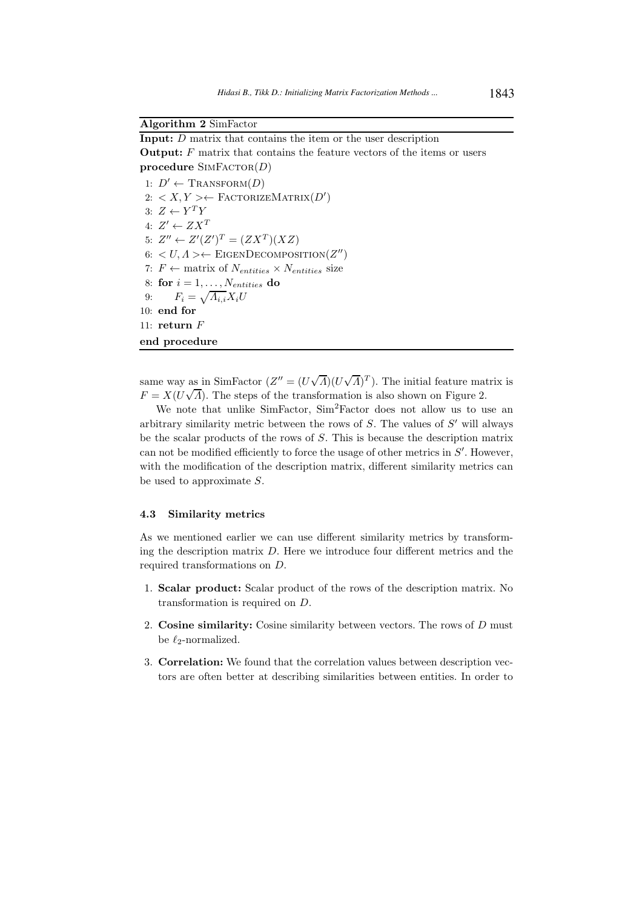## Algorithm 2 SimFactor

Input: D matrix that contains the item or the user description **Output:**  $F$  matrix that contains the feature vectors of the items or users procedure  $\text{SIMFACTOR}(D)$ 

1:  $D' \leftarrow \text{TRANSFORM}(D)$ 2:  $\langle X, Y \rangle$  ← FactorizeMatrix $(D')$ 3:  $Z \leftarrow Y^T Y$ 4:  $Z' \leftarrow Z X^T$ 5:  $Z'' \leftarrow Z'(Z')^T = (ZX^T)(XZ)$ 6:  $\langle U, \Lambda \rangle \leftarrow$  EIGENDECOMPOSITION( $Z''$ ) 7:  $F \leftarrow$  matrix of  $N_{entities} \times N_{entities}$  size 8: for  $i = 1, \ldots, N_{entities}$  do 9:  $F_i = \sqrt{A_{i,i}}X_iU$ 10: end for 11: return  $F$ end procedure

same way as in SimFactor  $(Z'' = (U\sqrt{A})(U\sqrt{A})^T)$ . The initial feature matrix is  $F = X(U\sqrt{A})$ . The steps of the transformation is also shown on Figure 2.

We note that unlike SimFactor, Sim<sup>2</sup>Factor does not allow us to use an arbitrary similarity metric between the rows of  $S$ . The values of  $S'$  will always be the scalar products of the rows of S. This is because the description matrix can not be modified efficiently to force the usage of other metrics in  $S'$ . However, with the modification of the description matrix, different similarity metrics can be used to approximate S.

## 4.3 Similarity metrics

As we mentioned earlier we can use different similarity metrics by transforming the description matrix  $D$ . Here we introduce four different metrics and the required transformations on D.

- 1. Scalar product: Scalar product of the rows of the description matrix. No transformation is required on D.
- 2. Cosine similarity: Cosine similarity between vectors. The rows of D must be  $\ell_2$ -normalized.
- 3. Correlation: We found that the correlation values between description vectors are often better at describing similarities between entities. In order to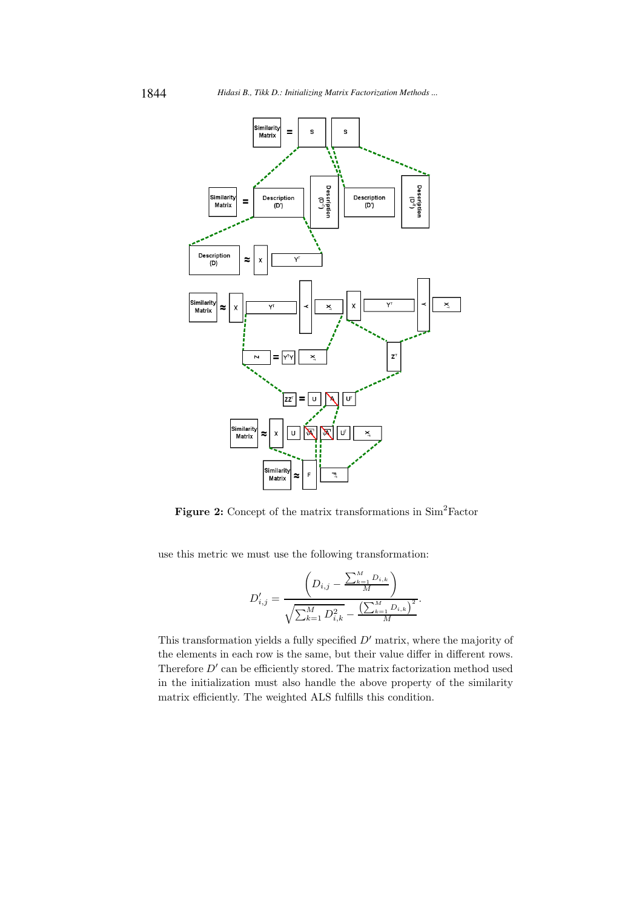

Figure 2: Concept of the matrix transformations in Sim<sup>2</sup>Factor

use this metric we must use the following transformation:

$$
D'_{i,j} = \frac{\left(D_{i,j} - \frac{\sum_{k=1}^{M} D_{i,k}}{M}\right)}{\sqrt{\sum_{k=1}^{M} D_{i,k}^{2} - \frac{\left(\sum_{k=1}^{M} D_{i,k}\right)^{2}}{M}}}.
$$

This transformation yields a fully specified  $D'$  matrix, where the majority of the elements in each row is the same, but their value differ in different rows. Therefore  $D'$  can be efficiently stored. The matrix factorization method used in the initialization must also handle the above property of the similarity matrix efficiently. The weighted ALS fulfills this condition.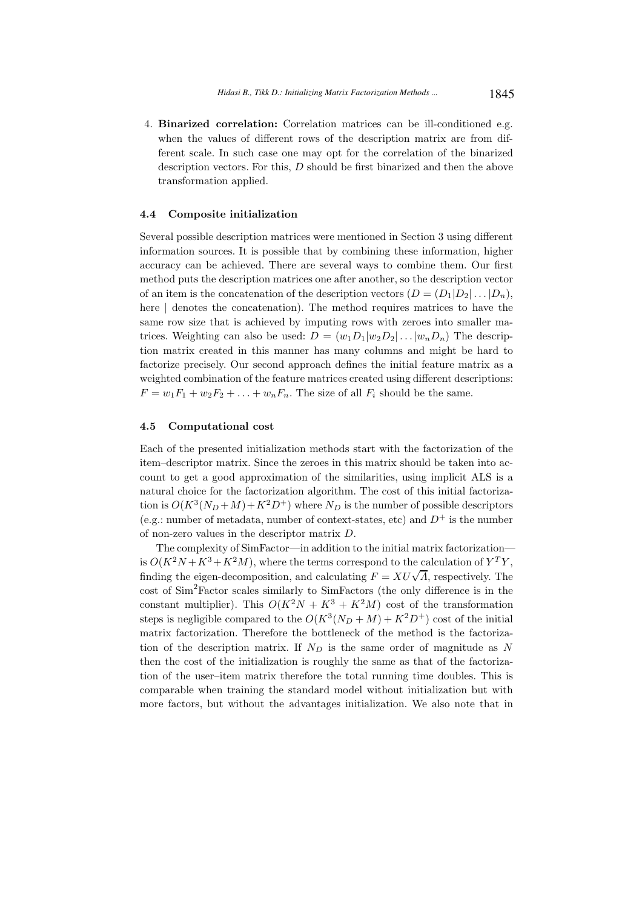4. Binarized correlation: Correlation matrices can be ill-conditioned e.g. when the values of different rows of the description matrix are from different scale. In such case one may opt for the correlation of the binarized description vectors. For this, D should be first binarized and then the above transformation applied.

#### 4.4 Composite initialization

Several possible description matrices were mentioned in Section 3 using different information sources. It is possible that by combining these information, higher accuracy can be achieved. There are several ways to combine them. Our first method puts the description matrices one after another, so the description vector of an item is the concatenation of the description vectors  $(D = (D_1|D_2|...|D_n)$ , here | denotes the concatenation). The method requires matrices to have the same row size that is achieved by imputing rows with zeroes into smaller matrices. Weighting can also be used:  $D = (w_1D_1|w_2D_2|\dots|w_nD_n)$  The description matrix created in this manner has many columns and might be hard to factorize precisely. Our second approach defines the initial feature matrix as a weighted combination of the feature matrices created using different descriptions:  $F = w_1F_1 + w_2F_2 + \ldots + w_nF_n$ . The size of all  $F_i$  should be the same.

#### 4.5 Computational cost

Each of the presented initialization methods start with the factorization of the item–descriptor matrix. Since the zeroes in this matrix should be taken into account to get a good approximation of the similarities, using implicit ALS is a natural choice for the factorization algorithm. The cost of this initial factorization is  $O(K^3(N_D+M)+K^2D^+)$  where  $N_D$  is the number of possible descriptors (e.g.: number of metadata, number of context-states, etc) and  $D^+$  is the number of non-zero values in the descriptor matrix D.

The complexity of SimFactor—in addition to the initial matrix factorization is  $O(K^2N + K^3 + K^2M)$ , where the terms correspond to the calculation of  $Y^TY$ , finding the eigen-decomposition, and calculating  $F = XU\sqrt{A}$ , respectively. The cost of Sim<sup>2</sup>Factor scales similarly to SimFactors (the only difference is in the constant multiplier). This  $O(K^2N + K^3 + K^2M)$  cost of the transformation steps is negligible compared to the  $O(K^3(N_D + M) + K^2D^+)$  cost of the initial matrix factorization. Therefore the bottleneck of the method is the factorization of the description matrix. If  $N_D$  is the same order of magnitude as N then the cost of the initialization is roughly the same as that of the factorization of the user–item matrix therefore the total running time doubles. This is comparable when training the standard model without initialization but with more factors, but without the advantages initialization. We also note that in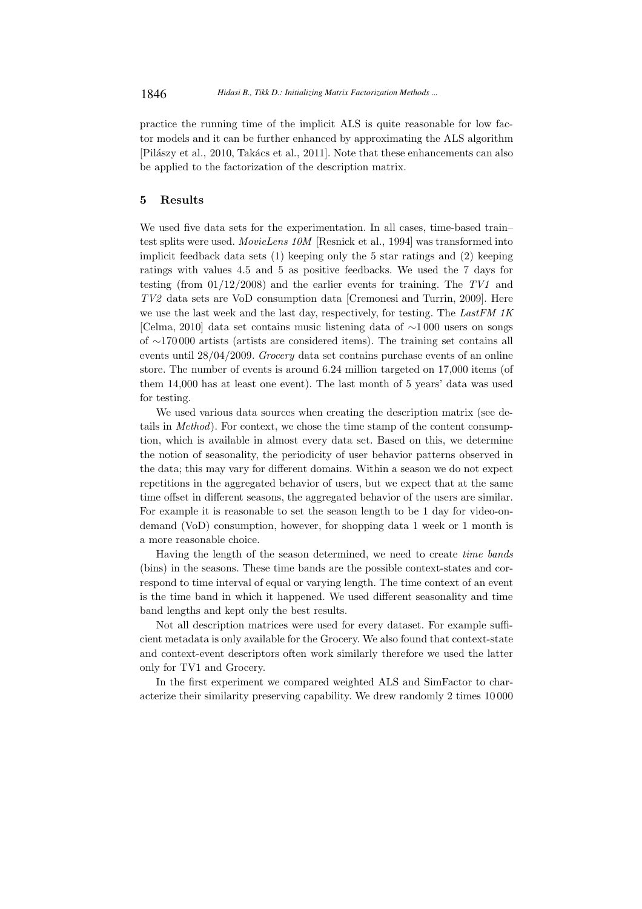practice the running time of the implicit ALS is quite reasonable for low factor models and it can be further enhanced by approximating the ALS algorithm [Pilászy et al., 2010, Takács et al., 2011]. Note that these enhancements can also be applied to the factorization of the description matrix.

## 5 Results

We used five data sets for the experimentation. In all cases, time-based train– test splits were used. MovieLens 10M [Resnick et al., 1994] was transformed into implicit feedback data sets (1) keeping only the 5 star ratings and (2) keeping ratings with values 4.5 and 5 as positive feedbacks. We used the 7 days for testing (from  $01/12/2008$ ) and the earlier events for training. The TV1 and TV2 data sets are VoD consumption data [Cremonesi and Turrin, 2009]. Here we use the last week and the last day, respectively, for testing. The LastFM 1K [Celma, 2010] data set contains music listening data of ∼1 000 users on songs of ∼170 000 artists (artists are considered items). The training set contains all events until 28/04/2009. Grocery data set contains purchase events of an online store. The number of events is around 6.24 million targeted on 17,000 items (of them 14,000 has at least one event). The last month of 5 years' data was used for testing.

We used various data sources when creating the description matrix (see details in Method). For context, we chose the time stamp of the content consumption, which is available in almost every data set. Based on this, we determine the notion of seasonality, the periodicity of user behavior patterns observed in the data; this may vary for different domains. Within a season we do not expect repetitions in the aggregated behavior of users, but we expect that at the same time offset in different seasons, the aggregated behavior of the users are similar. For example it is reasonable to set the season length to be 1 day for video-ondemand (VoD) consumption, however, for shopping data 1 week or 1 month is a more reasonable choice.

Having the length of the season determined, we need to create time bands (bins) in the seasons. These time bands are the possible context-states and correspond to time interval of equal or varying length. The time context of an event is the time band in which it happened. We used different seasonality and time band lengths and kept only the best results.

Not all description matrices were used for every dataset. For example sufficient metadata is only available for the Grocery. We also found that context-state and context-event descriptors often work similarly therefore we used the latter only for TV1 and Grocery.

In the first experiment we compared weighted ALS and SimFactor to characterize their similarity preserving capability. We drew randomly 2 times 10 000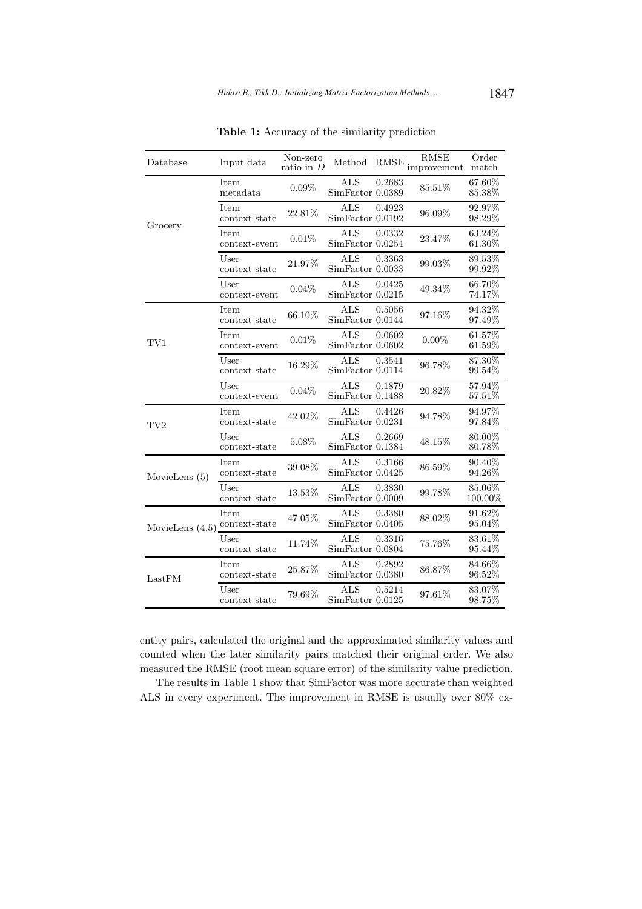| Database          | Input data                   | Non-zero<br>ratio in $D$ | Method                                   |        | <b>RMSE</b><br>$\text{RMSE} \underset{\text{improvement}}{\text{inverse}}$ | Order<br>match      |
|-------------------|------------------------------|--------------------------|------------------------------------------|--------|----------------------------------------------------------------------------|---------------------|
|                   | Item<br>metadata             | $0.09\%$                 | <b>ALS</b><br>$\text{SimFactor}\ 0.0389$ | 0.2683 | 85.51%                                                                     | 67.60%<br>85.38%    |
| Grocery           | Item<br>$context-state$      | 22.81%                   | <b>ALS</b><br>$\text{SimFactor}\ 0.0192$ | 0.4923 | 96.09%                                                                     | 92.97%<br>98.29%    |
|                   | <b>Item</b><br>context-event | 0.01%                    | <b>ALS</b><br>SimFactor 0.0254           | 0.0332 | 23.47%                                                                     | 63.24%<br>61.30%    |
|                   | User<br>context-state        | 21.97%                   | <b>ALS</b><br>SimFactor 0.0033           | 0.3363 | 99.03%                                                                     | 89.53%<br>99.92%    |
|                   | User<br>context-event        | 0.04%                    | <b>ALS</b><br>SimFactor 0.0215           | 0.0425 | 49.34%                                                                     | 66.70%<br>74.17%    |
|                   | Item<br>context-state        | 66.10%                   | <b>ALS</b><br>SimFactor 0.0144           | 0.5056 | 97.16%                                                                     | 94.32%<br>97.49%    |
| TV1               | Item<br>context-event        | 0.01%                    | <b>ALS</b><br>SimFactor 0.0602           | 0.0602 | $0.00\%$                                                                   | $61.57\%$<br>61.59% |
|                   | User<br>context-state        | 16.29%                   | <b>ALS</b><br>SimFactor 0.0114           | 0.3541 | 96.78%                                                                     | 87.30%<br>99.54%    |
|                   | User<br>context-event        | $0.04\%$                 | <b>ALS</b><br>SimFactor 0.1488           | 0.1879 | 20.82%                                                                     | 57.94%<br>57.51%    |
| TV <sub>2</sub>   | <b>Item</b><br>context-state | 42.02%                   | <b>ALS</b><br>SimFactor 0.0231           | 0.4426 | 94.78%                                                                     | 94.97%<br>97.84%    |
|                   | User<br>context-state        | 5.08%                    | <b>ALS</b><br>SimFactor 0.1384           | 0.2669 | 48.15%                                                                     | 80.00%<br>80.78%    |
| MovieLens $(5)$   | Item<br>context-state        | $39.08\%$                | <b>ALS</b><br>$\text{SimFactor}\ 0.0425$ | 0.3166 | 86.59%                                                                     | 90.40%<br>94.26%    |
|                   | User<br>context-state        | 13.53%                   | <b>ALS</b><br>SimFactor 0.0009           | 0.3830 | 99.78%                                                                     | 85.06%<br>100.00%   |
| MovieLens $(4.5)$ | <b>Item</b><br>context-state | 47.05%                   | ALS<br>SimFactor 0.0405                  | 0.3380 | 88.02%                                                                     | 91.62%<br>95.04%    |
|                   | User<br>context-state        | 11.74%                   | <b>ALS</b><br>SimFactor 0.0804           | 0.3316 | 75.76%                                                                     | 83.61%<br>95.44%    |
| LastFM            | Item<br>context-state        | 25.87%                   | <b>ALS</b><br>SimFactor 0.0380           | 0.2892 | 86.87%                                                                     | 84.66%<br>96.52%    |
|                   | User<br>context-state        | 79.69%                   | <b>ALS</b><br>$\text{SimFactor}\ 0.0125$ | 0.5214 | 97.61%                                                                     | 83.07%<br>98.75%    |

Table 1: Accuracy of the similarity prediction

entity pairs, calculated the original and the approximated similarity values and counted when the later similarity pairs matched their original order. We also measured the RMSE (root mean square error) of the similarity value prediction.

The results in Table 1 show that SimFactor was more accurate than weighted ALS in every experiment. The improvement in RMSE is usually over 80% ex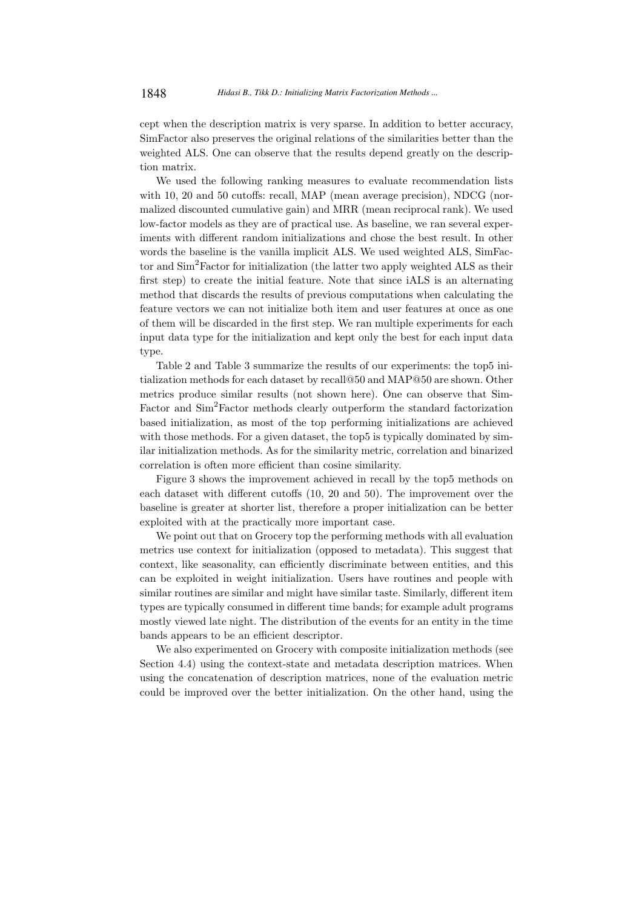cept when the description matrix is very sparse. In addition to better accuracy, SimFactor also preserves the original relations of the similarities better than the weighted ALS. One can observe that the results depend greatly on the description matrix.

We used the following ranking measures to evaluate recommendation lists with 10, 20 and 50 cutoffs: recall, MAP (mean average precision), NDCG (normalized discounted cumulative gain) and MRR (mean reciprocal rank). We used low-factor models as they are of practical use. As baseline, we ran several experiments with different random initializations and chose the best result. In other words the baseline is the vanilla implicit ALS. We used weighted ALS, SimFactor and Sim<sup>2</sup>Factor for initialization (the latter two apply weighted ALS as their first step) to create the initial feature. Note that since iALS is an alternating method that discards the results of previous computations when calculating the feature vectors we can not initialize both item and user features at once as one of them will be discarded in the first step. We ran multiple experiments for each input data type for the initialization and kept only the best for each input data type.

Table 2 and Table 3 summarize the results of our experiments: the top5 initialization methods for each dataset by recall@50 and MAP@50 are shown. Other metrics produce similar results (not shown here). One can observe that Sim-Factor and  $\text{Sim}^2$ Factor methods clearly outperform the standard factorization based initialization, as most of the top performing initializations are achieved with those methods. For a given dataset, the top5 is typically dominated by similar initialization methods. As for the similarity metric, correlation and binarized correlation is often more efficient than cosine similarity.

Figure 3 shows the improvement achieved in recall by the top5 methods on each dataset with different cutoffs (10, 20 and 50). The improvement over the baseline is greater at shorter list, therefore a proper initialization can be better exploited with at the practically more important case.

We point out that on Grocery top the performing methods with all evaluation metrics use context for initialization (opposed to metadata). This suggest that context, like seasonality, can efficiently discriminate between entities, and this can be exploited in weight initialization. Users have routines and people with similar routines are similar and might have similar taste. Similarly, different item types are typically consumed in different time bands; for example adult programs mostly viewed late night. The distribution of the events for an entity in the time bands appears to be an efficient descriptor.

We also experimented on Grocery with composite initialization methods (see Section 4.4) using the context-state and metadata description matrices. When using the concatenation of description matrices, none of the evaluation metric could be improved over the better initialization. On the other hand, using the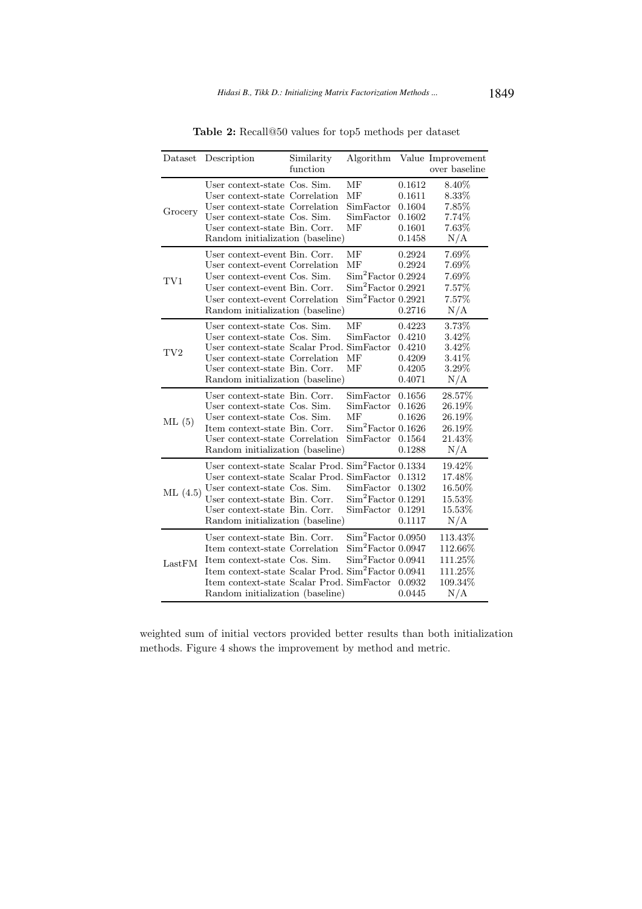| Dataset    | Description                                                                                                                                                                                                                                           | Similarity<br>function |                                                                                  |                                                          | Algorithm Value Improvement<br>over baseline                |
|------------|-------------------------------------------------------------------------------------------------------------------------------------------------------------------------------------------------------------------------------------------------------|------------------------|----------------------------------------------------------------------------------|----------------------------------------------------------|-------------------------------------------------------------|
| Grocery    | User context-state Cos. Sim.<br>User context-state Correlation<br>User context-state Correlation<br>User context-state Cos. Sim.<br>User context-state Bin. Corr.<br>Random initialization (baseline)                                                 |                        | MF<br>MF<br>SimFactor<br>SimFactor<br>МF                                         | 0.1612<br>0.1611<br>0.1604<br>0.1602<br>0.1601<br>0.1458 | 8.40%<br>8.33%<br>7.85%<br>7.74%<br>7.63%<br>N/A            |
| TV1        | User context-event Bin. Corr.<br>User context-event Correlation<br>User context-event Cos. Sim.<br>User context-event Bin. Corr.<br>User context-event Correlation<br>Random initialization (baseline)                                                |                        | MF<br>MF<br>$Sim2 Factor$ 0.2924<br>$Sim2 Factor$ 0.2921<br>$Sim2 Factor$ 0.2921 | 0.2924<br>0.2924<br>0.2716                               | 7.69%<br>7.69%<br>7.69%<br>7.57%<br>7.57%<br>N/A            |
| $\rm{TV}2$ | User context-state Cos. Sim.<br>User context-state Cos. Sim.<br>User context-state Scalar Prod. SimFactor<br>User context-state Correlation<br>User context-state Bin. Corr.<br>Random initialization (baseline)                                      |                        | МF<br>SimFactor<br>MF<br>MF                                                      | 0.4223<br>0.4210<br>0.4210<br>0.4209<br>0.4205<br>0.4071 | 3.73%<br>3.42\%<br>3.42\%<br>3.41\%<br>3.29%<br>$\rm N/A$   |
| ML(5)      | User context-state Bin. Corr.<br>User context-state Cos. Sim.<br>User context-state Cos. Sim.<br>Item context-state Bin. Corr.<br>User context-state Correlation<br>Random initialization (baseline)                                                  |                        | SimFactor<br>SimFactor<br>MF<br>Sim <sup>2</sup> Factor 0.1626<br>SimFactor      | 0.1656<br>0.1626<br>0.1626<br>0.1564<br>0.1288           | 28.57%<br>26.19%<br>26.19%<br>26.19%<br>21.43%<br>N/A       |
| ML(4.5)    | User context-state Scalar Prod. $\text{Sim}^2\text{Factor }0.1334$<br>User context-state Scalar Prod. SimFactor<br>User context-state Cos. Sim.<br>User context-state Bin. Corr.<br>User context-state Bin. Corr.<br>Random initialization (baseline) |                        | SimFactor<br>$Sim2 Factor$ 0.1291<br>SimFactor                                   | 0.1312<br>0.1302<br>0.1291<br>0.1117                     | 19.42%<br>17.48%<br>16.50%<br>15.53%<br>15.53%<br>N/A       |
| LastFM     | User context-state Bin. Corr.<br>Item context-state Correlation<br>Item context-state Cos. Sim.<br>Item context-state Scalar Prod. Sim <sup>2</sup> Factor 0.0941<br>Item context-state Scalar Prod. SimFactor<br>Random initialization (baseline)    |                        | $Sim2 Factor$ 0.0950<br>$Sim2 Factor$ 0.0947<br>Sim <sup>2</sup> Factor 0.0941   | 0.0932<br>0.0445                                         | 113.43%<br>112.66%<br>111.25%<br>111.25%<br>109.34\%<br>N/A |

Table 2: Recall@50 values for top5 methods per dataset

weighted sum of initial vectors provided better results than both initialization methods. Figure 4 shows the improvement by method and metric.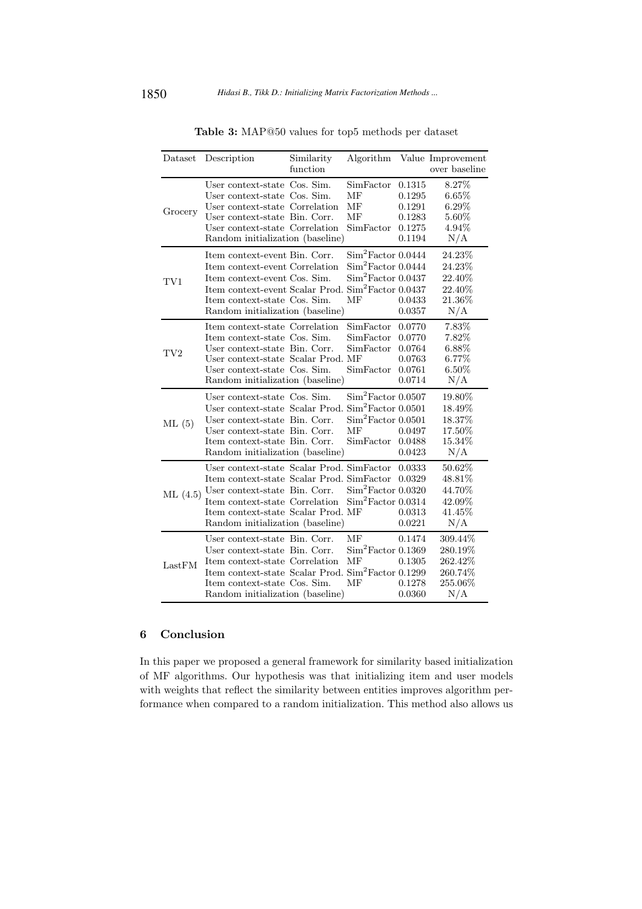| Dataset         | Description                                                                                                                                                                                                                            | Similarity<br>function |                                                                                                   |                                                          | Algorithm Value Improvement<br>over baseline               |
|-----------------|----------------------------------------------------------------------------------------------------------------------------------------------------------------------------------------------------------------------------------------|------------------------|---------------------------------------------------------------------------------------------------|----------------------------------------------------------|------------------------------------------------------------|
| Grocery         | User context-state Cos. Sim.<br>User context-state Cos. Sim.<br>User context-state Correlation<br>User context-state Bin. Corr.<br>User context-state Correlation<br>Random initialization (baseline)                                  |                        | SimFactor<br>MF<br>MF<br>MF<br>SimFactor                                                          | 0.1315<br>0.1295<br>0.1291<br>0.1283<br>0.1275<br>0.1194 | 8.27%<br>6.65%<br>$6.29\%$<br>5.60%<br>4.94%<br>N/A        |
| TV1             | Item context-event Bin. Corr.<br>Item context-event Correlation<br>Item context-event Cos. Sim.<br>Item context-event Scalar Prod. Sim <sup>2</sup> Factor 0.0437<br>Item context-state Cos. Sim.<br>Random initialization (baseline)  |                        | $Sim2 Factor$ 0.0444<br>$Sim2 Factor$ 0.0444<br>$Sim2 Factor$ 0.0437<br>МF                        | 0.0433<br>0.0357                                         | 24.23%<br>24.23%<br>22.40%<br>22.40%<br>21.36%<br>N/A      |
| TV <sub>2</sub> | Item context-state Correlation<br>Item context-state Cos. Sim.<br>User context-state Bin. Corr.<br>User context-state Scalar Prod. MF<br>User context-state Cos. Sim.<br>Random initialization (baseline)                              |                        | SimFactor<br>SimFactor<br>SimFactor<br>SimFactor                                                  | 0.0770<br>0.0770<br>0.0764<br>0.0763<br>0.0761<br>0.0714 | 7.83%<br>7.82%<br>6.88%<br>6.77%<br>$6.50\%$<br>N/A        |
| ML(5)           | User context-state Cos. Sim.<br>User context-state Scalar Prod.<br>User context-state Bin. Corr.<br>User context-state Bin. Corr.<br>Item context-state Bin. Corr.<br>Random initialization (baseline)                                 |                        | Sim <sup>2</sup> Factor 0.0507<br>$Sim2 Factor$ 0.0501<br>$Sim2 Factor$ 0.0501<br>MF<br>SimFactor | 0.0497<br>0.0488<br>0.0423                               | 19.80%<br>18.49%<br>18.37%<br>17.50%<br>15.34%<br>N/A      |
| ML(4.5)         | User context-state Scalar Prod. SimFactor<br>Item context-state Scalar Prod. SimFactor<br>User context-state Bin. Corr.<br>Item context-state Correlation<br>Item context-state Scalar Prod. MF<br>Random initialization (baseline)    |                        | $Sim2 Factor$ 0.0320<br>$Sim2 Factor$ 0.0314                                                      | 0.0333<br>0.0329<br>0.0313<br>0.0221                     | 50.62%<br>48.81%<br>44.70%<br>42.09%<br>41.45%<br>N/A      |
| LastFM          | User context-state Bin. Corr.<br>User context-state Bin. Corr.<br>Item context-state Correlation<br>Item context-state Scalar Prod. Sim <sup>2</sup> Factor 0.1299<br>Item context-state Cos. Sim.<br>Random initialization (baseline) |                        | MF<br>$Sim2 Factor$ 0.1369<br>MF<br>MF                                                            | 0.1474<br>0.1305<br>0.1278<br>0.0360                     | 309.44%<br>280.19%<br>262.42%<br>260.74%<br>255.06%<br>N/A |

Table 3: MAP@50 values for top5 methods per dataset

# 6 Conclusion

In this paper we proposed a general framework for similarity based initialization of MF algorithms. Our hypothesis was that initializing item and user models with weights that reflect the similarity between entities improves algorithm performance when compared to a random initialization. This method also allows us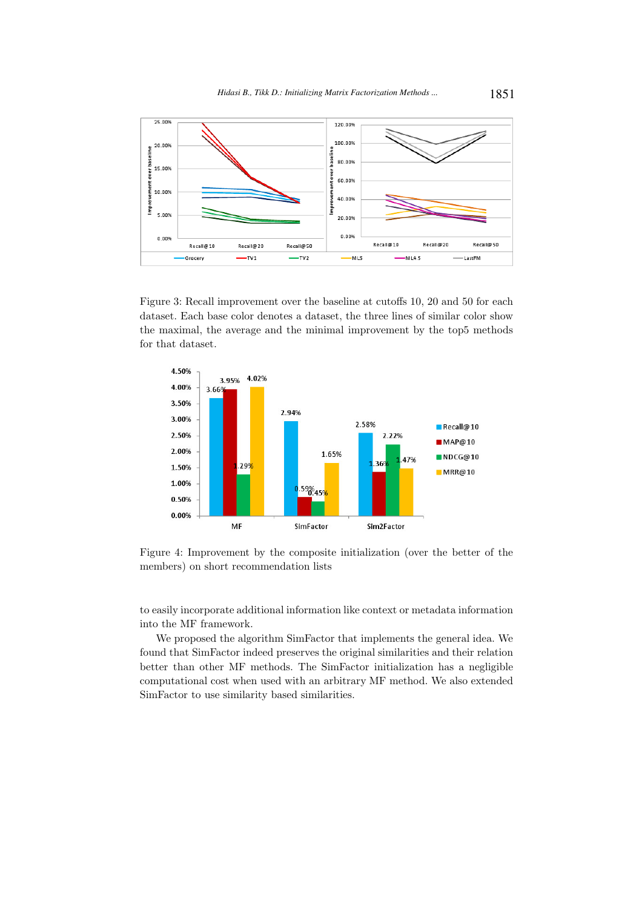

Figure 3: Recall improvement over the baseline at cutoffs 10, 20 and 50 for each dataset. Each base color denotes a dataset, the three lines of similar color show the maximal, the average and the minimal improvement by the top5 methods for that dataset.



Figure 4: Improvement by the composite initialization (over the better of the members) on short recommendation lists

to easily incorporate additional information like context or metadata information into the MF framework.

We proposed the algorithm SimFactor that implements the general idea. We found that SimFactor indeed preserves the original similarities and their relation better than other MF methods. The SimFactor initialization has a negligible computational cost when used with an arbitrary MF method. We also extended SimFactor to use similarity based similarities.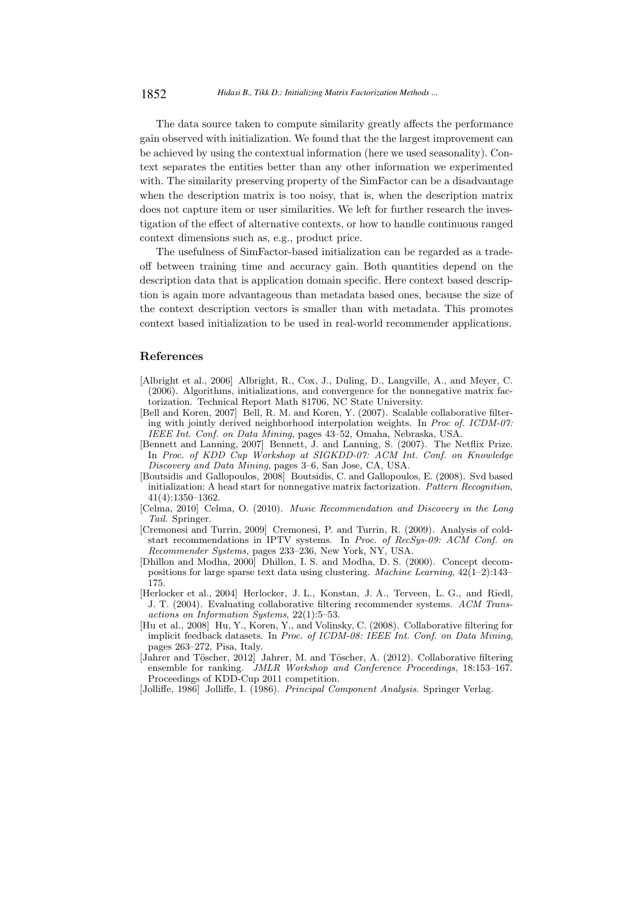The data source taken to compute similarity greatly affects the performance gain observed with initialization. We found that the the largest improvement can be achieved by using the contextual information (here we used seasonality). Context separates the entities better than any other information we experimented with. The similarity preserving property of the SimFactor can be a disadvantage when the description matrix is too noisy, that is, when the description matrix does not capture item or user similarities. We left for further research the investigation of the effect of alternative contexts, or how to handle continuous ranged context dimensions such as, e.g., product price.

The usefulness of SimFactor-based initialization can be regarded as a tradeoff between training time and accuracy gain. Both quantities depend on the description data that is application domain specific. Here context based description is again more advantageous than metadata based ones, because the size of the context description vectors is smaller than with metadata. This promotes context based initialization to be used in real-world recommender applications.

#### References

- [Albright et al., 2006] Albright, R., Cox, J., Duling, D., Langville, A., and Meyer, C. (2006). Algorithms, initializations, and convergence for the nonnegative matrix factorization. Technical Report Math 81706, NC State University.
- [Bell and Koren, 2007] Bell, R. M. and Koren, Y. (2007). Scalable collaborative filtering with jointly derived neighborhood interpolation weights. In *Proc of. ICDM-07: IEEE Int. Conf. on Data Mining*, pages 43–52, Omaha, Nebraska, USA.
- [Bennett and Lanning, 2007] Bennett, J. and Lanning, S. (2007). The Netflix Prize. In *Proc. of KDD Cup Workshop at SIGKDD-07: ACM Int. Conf. on Knowledge Discovery and Data Mining*, pages 3–6, San Jose, CA, USA.
- [Boutsidis and Gallopoulos, 2008] Boutsidis, C. and Gallopoulos, E. (2008). Svd based initialization: A head start for nonnegative matrix factorization. *Pattern Recognition*, 41(4):1350–1362.
- [Celma, 2010] Celma, O. (2010). *Music Recommendation and Discovery in the Long Tail*. Springer.
- [Cremonesi and Turrin, 2009] Cremonesi, P. and Turrin, R. (2009). Analysis of coldstart recommendations in IPTV systems. In *Proc. of RecSys-09: ACM Conf. on Recommender Systems*, pages 233–236, New York, NY, USA.
- [Dhillon and Modha, 2000] Dhillon, I. S. and Modha, D. S. (2000). Concept decompositions for large sparse text data using clustering. *Machine Learning*, 42(1–2):143– 175.
- [Herlocker et al., 2004] Herlocker, J. L., Konstan, J. A., Terveen, L. G., and Riedl, J. T. (2004). Evaluating collaborative filtering recommender systems. *ACM Transactions on Information Systems*, 22(1):5–53.
- [Hu et al., 2008] Hu, Y., Koren, Y., and Volinsky, C. (2008). Collaborative filtering for implicit feedback datasets. In *Proc. of ICDM-08: IEEE Int. Conf. on Data Mining*, pages 263–272, Pisa, Italy.
- [Jahrer and Töscher, 2012] Jahrer, M. and Töscher, A. (2012). Collaborative filtering ensemble for ranking. *JMLR Workshop and Conference Proceedings*, 18:153–167. Proceedings of KDD-Cup 2011 competition.
- [Jolliffe, 1986] Jolliffe, I. (1986). *Principal Component Analysis*. Springer Verlag.